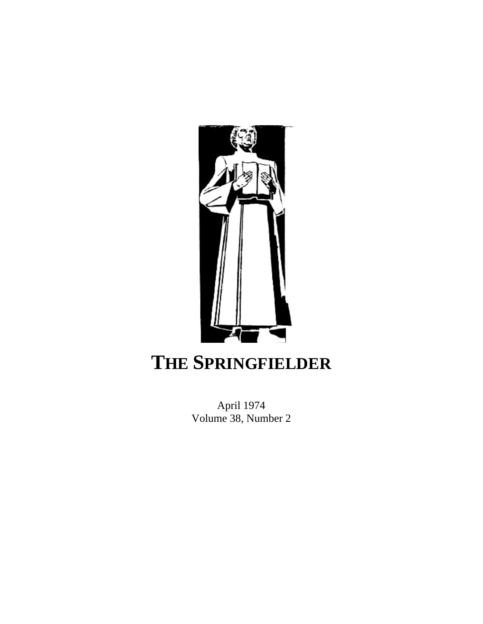

# **THE SPRINGFIELDER**

April 1974 Volume 38, Number 2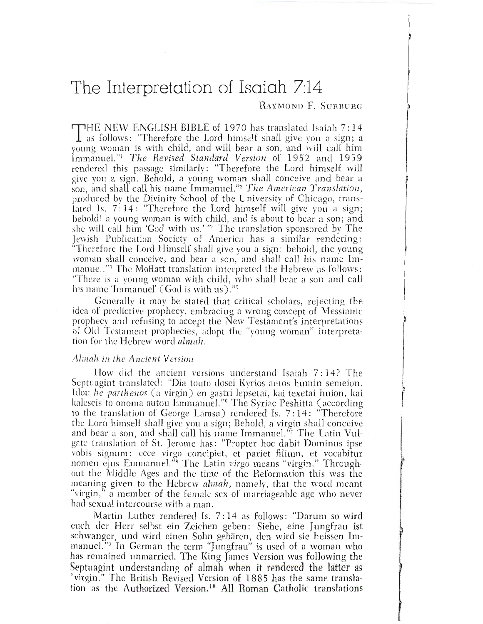## The Interpretation of Isaiah 7:14

## **BAYMOND F. SURRURG**

THE NEW ENGLISH BIBLE of 1970 has translated Isaiah 7:14  $\perp$  as follows: "Therefore the Lord himself shall give you a sign; a young woman is with child, and will bear a son, and will call him Immanuel."<sup>1</sup> The Revised Standard Version of 1952 and 1959 rendered this passage similarly: "Therefore the Lord himself will give you a sign. Behold, a young woman shall conceive and bear a son, and shall call his name Immanuel."<sup>2</sup> The American Translation, produced by the Divinity School of the University of Chicago, translated Is. 7:14: "Therefore the Lord himself will give you a sign; behold! a young woman is with child, and is about to bear a son; and she will call him 'God with us.' "<sup>3</sup> The translation sponsored by The Jewish Publication Society of America has a similar rendering: "Therefore the Lord Himself shall give you a sign: behold, the young woman shall conceive, and bear a son, and shall call his name Immanuel."<sup>4</sup> The Moffatt translation interpreted the Hebrew as follows: "There is a young woman with child, who shall bear a son and call his name 'Immanuel' (God is with us)."

Generally it may be stated that critical scholars, rejecting the idea of predictive prophecy, embracing a wrong concept of Messianic prophecy and refusing to accept the New Testament's interpretations of Old Testament prophecies, adopt the "voung woman" interpretation for the Hebrew word almali

### Almah in the Ancient Version

How did the ancient versions understand Isaiah 7:14? The Septuagint translated: "Dia touto dosei Kyrios autos humin semeion. Idou he parthenos (a virgin) en gastri lepsetai, kai texetai huion, kai kaleseis to onoma autou Emmanuel."<sup>6</sup> The Syriac Peshitta (according to the translation of George Lamsa) rendered Is. 7:14: "Therefore the Lord himself shall give you a sign; Behold, a virgin shall conceive and bear a son, and shall call his name Immanuel."<sup>7</sup> The Latin Vulgate translation of St. Jerome has: "Propter hoc dabit Dominus ipse vobis signum: ecce virgo concipiet, et pariet filium, et vocabitur<br>nomen ejus Emmanuel."<sup>8</sup> The Latin virgo means "virgin." Throughout the Middle Ages and the time of the Reformation this was the meaning given to the Hebrew almah, namely, that the word meant "virgin," a member of the female sex of marriageable age who never had sexual intercourse with a man.

Martin Luther rendered Is. 7:14 as follows: "Darum so wird euch der Herr selbst ein Zeichen geben: Siehe, eine Jungfrau ist schwanger, und wird einen Sohn gebären, den wird sie heissen Immanuel."<sup>9</sup> In German the term "Jungfrau" is used of a woman who has remained unmarried. The King James Version was following the Septuagint understanding of almah when it rendered the latter as "virgin." The British Revised Version of 1885 has the same translation as the Authorized Version.<sup>10</sup> All Roman Catholic translations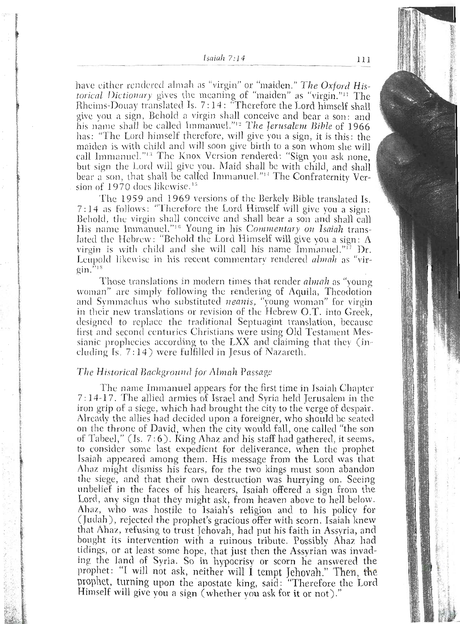#### $Isaiah 7:14$

have either rendered almah as "virgin" or "maiden." The Oxford Historical Dictionary gives the meaning of "maiden" as "virgin."<sup>11</sup> The Rheims-Douay translated Is. 7:14: "Therefore the Lord himself shall give you a sign, Behold a virgin shall conceive and bear a son: and his name shall be called Immanuel."<sup>12</sup> The Jerusalem Bible of 1966 has: "The Lord himself therefore, will give you a sign, it is this: the maiden is with child and will soon give birth to a son whom she will call Immanuel."<sup>13</sup> The Knox Version rendered: "Sign you ask none, but sign the Lord will give you. Maid shall be with child, and shall bear a son, that shall be called Immanuel."<sup>14</sup> The Confraternity Version of 1970 does likewise.<sup>15</sup>

The 1959 and 1969 versions of the Berkely Bible translated Is. 7:14 as follows: "Therefore the Lord Himself will give you a sign: Behold, the virgin shall conceive and shall bear a son and shall call His name Immanuel."<sup>16</sup> Young in his Commentary on Isaiah translated the Hebrew: "Behold the Lord Himself will give you a sign: A virgin is with child and she will call his name Immanuel." $\Gamma$  Dr. Leupold likewise in his recent commentary rendered almah as "vir- $\sin$ <sup>518</sup>

Those translations in modern times that render *almah* as "young woman" are simply following the rendering of Aquila, Theodotion and Symmachus who substituted neanis, "young woman" for virgin in their new translations or revision of the Hebrew O.T. into Greek, designed to replace the traditional Septuagint translation, because first and second centuries Christians were using Old Testament Messianic prophecies according to the LXX and claiming that they (including Is. 7:14) were fulfilled in Jesus of Nazareth.

#### The Historical Background for Almah Passage

The name Immanuel appears for the first time in Isaiah Chapter 7:14-17. The allied armies of Israel and Syria held Jerusalem in the iron grip of a siege, which had brought the city to the verge of despair. Already the allies had decided upon a foreigner, who should be seated on the throne of David, when the city would fall, one called "the son of Tabeel," (Is. 7:6). King Ahaz and his staff had gathered, it seems, to consider some last expedient for deliverance, when the prophet Isaiah appeared among them. His message from the Lord was that Ahaz might dismiss his fears, for the two kings must soon abandon the siege, and that their own destruction was hurrying on. Seeing unbelief in the faces of his hearers, Isaiah offered a sign from the Lord, any sign that they might ask, from heaven above to hell below. Ahaz, who was hostile to Isaiah's religion and to his policy for (Judah), rejected the prophet's gracious offer with scorn. Isaiah knew that Ahaz, refusing to trust Jehovah, had put his faith in Assyria, and bought its intervention with a ruinous tribute. Possibly Ahaz had tidings, or at least some hope, that just then the Assyrian was invading the land of Syria. So in hypocrisy or scorn he answered the prophet: "I will not ask, neither will I tempt Jehovah." Then, the prophet, turning upon the apostate king, said: "Therefore the Lord Himself will give you a sign (whether you ask for it or not)."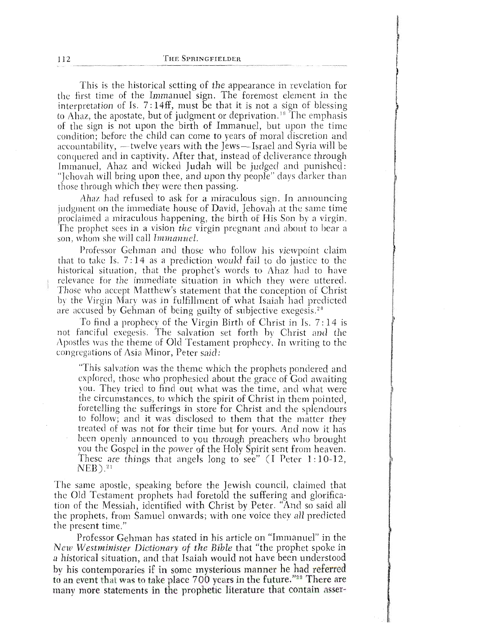This is the historical setting of the appearance in revelation for the first time of the Immanuel sign. The foremost element in the interpretation of Is.  $7:14ff$ , must be that it is not a sign of blessing. to Ahaz, the apostate, but of judgment or deprivation.<sup>19</sup> The emphasis of the sign is not upon the birth of Immanuel, but upon the time condition; before the child can come to years of moral discretion and accountability, - twelve years with the Jews-Israel and Syria will be conquered and in captivity. After that, instead of deliverance through Immanuel, Ahaz and wicked Judah will be judged and punished: "Jehovah will bring upon thee, and upon thy people" days darker than those through which they were then passing.

Ahaz had refused to ask for a miraculous sign. In announcing judgment on the immediate house of David, Jehovah at the same time. proclaimed a miraculous happening, the birth of His Son by a virgin. The prophet sees in a vision the virgin pregnant and about to bear a son, whom she will call Immanuel.

Professor, Gehman and those who follow his viewpoint claim that to take Is.  $7:14$  as a prediction would fail to do justice to the historical situation, that the prophet's words to Ahaz had to have relevance for the immediate situation in which they were uttered. Those who accept Matthew's statement that the conception of Christ by the Virgin Mary was in fulfillment of what Isaiah had predicted are accused by Gehman of being guilty of subjective exegesis.<sup>20</sup>

To find a prophecy of the Virgin Birth of Christ in Is.  $7:14$  is. not fanciful exegesis. The salvation set forth by Christ and the Apostles was the theme of Old Testament prophecy. In writing to the congregations of Asia Minor, Peter said:

"This salvation was the theme which the prophets pondered and explored, those who prophesied about the grace of  $\tilde{G}$ od awaiting vou. They tried to find out what was the time, and what were the circumstances, to which the spirit of Christ in them pointed. foretelling the sufferings in store for Christ and the splendours to follow; and it was disclosed to them that the matter they treated of was not for their time but for yours. And now it has been openly announced to you through preachers who brought you the Gospel in the power of the Holy Spirit sent from heaven. These are things that angels long to see" (I Peter 1:10-12, NEB).<sup>21</sup>  $NEB$  ).<sup>21</sup>

The same apostle, speaking before the Jewish council, claimed that the Old Testament prophets had foretold the suffering and glorification of the Messiah, identified with Christ by Peter. "And so said all the prophets, from Samuel onwards; with one voice they all predicted. the present time."

Professor Gehman has stated in his article on "Immanuel" in the New Westminister Dictionary of the Bible that "the prophet spoke in a historical situation, and that Isaiah would not have been understood by his contemporaries if in some mysterious manner he had referred to an event that was to take place 700 years in the future."<sup>22</sup> There are many more statements in the prophetic literature that contain asser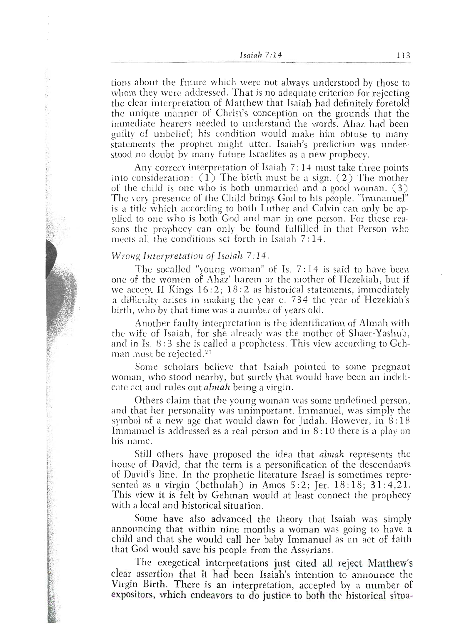$Isaiah 7:14$ 

tions about the future which were not always understood by those to whom they were addressed. That is no adequate criterion for rejecting the clear interpretation of Matthew that Isaiah had definitely foretold the unique manner of Christ's conception on the grounds that the immediate hearers needed to understand the words. Ahaz had been guilty of unbelief; his condition would make him obtuse to many statements the prophet might utter. Isaiah's prediction was understood no doubt by many future Israelites as a new prophecy.

Any correct interpretation of Isaiah 7:14 must take three points into consideration:  $(1)$  The birth must be a sign.  $(2)$  The mother of the child is one who is both unmarried and a good woman. (3) The very presence of the Child brings God to his people. "Immanuel" is a title which according to both Luther and Calvin can only be applied to one who is both God and man in one person. For these reasons the prophecy can only be found fulfilled in that Person who meets all the conditions set forth in Isaiah  $7:14$ .

## Wrong Interpretation of Isaiah 7:14.

The socalled "young woman" of Is.  $7:14$  is said to have been one of the women of Ahaz' harem or the mother of Hezekiah, but if we accept II Kings  $16:2$ ;  $18:2$  as historical statements, immediately a difficulty arises in making the year c. 734 the year of Hezekiah's birth, who by that time was a number of vears old.

Another faulty interpretation is the identification of Almah with the wife of Isaiah, for she already was the mother of Shaer-Yashub, and in Is. 8:3 she is called a prophetess. This view according to Gehman must be rejected.<sup>23</sup>

Some scholars believe that Isaiah pointed to some pregnant woman, who stood nearby, but surely that would have been an indelicate act and rules out *almah* being a virgin.

Others claim that the young woman was some undefined person, and that her personality was unimportant. Immanuel, was simply the symbol of a new age that would dawn for Judah. However, in 8:18 Immanuel is addressed as a real person and in 8:10 there is a play on his name.

Still others have proposed the idea that *almah* represents the house of David, that the term is a personification of the descendants of David's line. In the prophetic literature Israel is sometimes represented as a virgin (bethulah) in Amos 5:2; Jer. 18:18; 31:4,21. This view it is felt by Gehman would at least connect the prophecy with a local and historical situation.

Some have also advanced the theory that Isaiah was simply announcing that within nine months a woman was going to have a child and that she would call her baby Immanuel as an act of faith that God would save his people from the Assyrians.

The exegetical interpretations just cited all reject Matthew's clear assertion that it had been Isaiah's intention to announce the Virgin Birth. There is an interpretation, accepted by a number of expositors, which endeavors to do justice to both the historical situa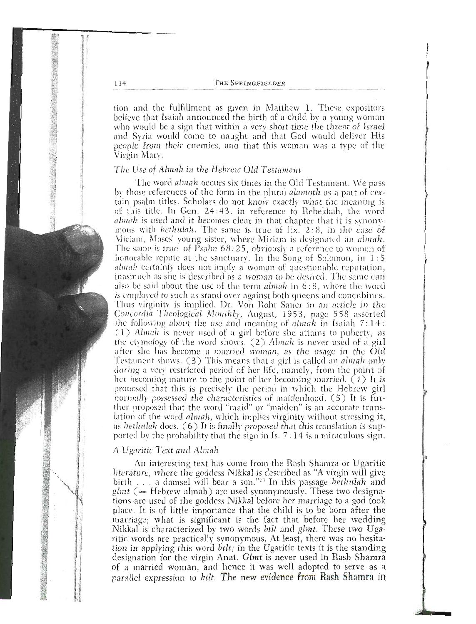tion and the fulfillment as given in Matthew 1. These expositors believe that Isaiah announced the birth of a child by a young woman who would be a sign that within a very short time the threat of Israel and Syria would come to naught and that God would deliver His people from their enemies, and that this woman was a type of the Virgin Marv.

#### The Use of Almah in the Hebrew Old Testament

The word almah occurs six times in the Old Testament. We pass by those references of the form in the plural *alamoth* as a part of certain psalm titles. Scholars do not know exactly what the meaning is of this title. In Gen. 24:43, in reference to Rebekkah, the word *almah* is used and it becomes clear in that chapter that it is synonymous with *bethulah*. The same is true of  $\sum x_i$ , 2:8, in the case of Miriam, Moses' voung sister, where Miriam is designated an *almah*. The same is true of Psalm 68:25, obviously a reference to women of honorable repute at the sanctuary. In the Song of Solomon, in 1:5 *almah* certainly does not imply a woman of questionable reputation, inasmuch as she is described as a woman to be desired. The same can also be said about the use of the term *almah* in 6:8, where the word is employed to such as stand over against both queens and concubines. Thus virginity is implied. Dr. Von Rohr Sauer in an article in the Concordia Theological Monthly, August, 1953, page 558 asserted the following about the use and meaning of  $almah$  in Isaiah  $7:14:$ (1) Almah is never used of a girl before she attains to puberty, as the etymology of the word shows. (2) Almah is never used of a girl after she has become a married woman, as the usage in the Öld<br>Testament shows. (3) This means that a girl is called an *almah* only during a very restricted period of her life, namely, from the point of her becoming mature to the point of her becoming married.  $(4)$  It is proposed that this is precisely the period in which the Hebrew girl normally possessed the characteristics of maidenhood. (5) It is further proposed that the word "maid" or "maiden" is an accurate translation of the word *almah*, which implies virginity without stressing it, as *bethulah* does.  $(6)$  It is finally proposed that this translation is supported by the probability that the sign in Is.  $7:14$  is a miraculous sign.

#### A Ugaritic Text and Almah

An interesting text has come from the Rash Shamra or Ugaritic literature, where the goddess Nikkal is described as "A virgin will give birth . . . a damsel will bear a son."24 In this passage bethulah and  $glmt$  (= Hebrew almah) are used synonymously. These two designations are used of the goddess Nikkal before her marriage to a god took place. It is of little importance that the child is to be born after the marriage; what is significant is the fact that before her wedding Nikkal is characterized by two words bilt and glmt. These two Ugaritic words are practically synonymous. At least, there was no hesitation in applying this word *btlt*; in the Ugaritic texts it is the standing designation for the virgin Anat. Glmt is never used in Rash Shamra of a married woman, and hence it was well adopted to serve as a parallel expression to *btlt*. The new evidence from Rash Shamra in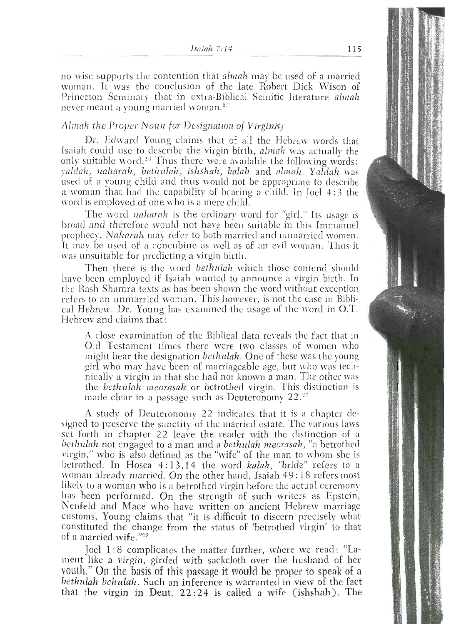no wise supports the contention that *almah* may be used of a married woman. It was the conclusion of the late Robert Dick Wison of Princeton Seminary that in extra-Biblical Semitic literature almah never meant a voung married woman.<sup>25</sup>

## Almah the Proper Noun for Designation of Virginity

Dr. Edward Young claims that of all the Hebrew words that Isaiah could use to describe the virgin birth, almah was actually the only suitable word.<sup>26</sup> Thus there were available the following words: yaldah, naharah, bethulah, ishshah, kalah and almah. Yaldah was used of a young child and thus would not be appropriate to describe a woman that had the capability of bearing a child. In Joel 4:3 the word is employed of one who is a mere child.

The word *naharah* is the ordinary word for "girl." Its usage is broad and therefore would not have been suitable in this Immanuel prophecy. Naharah may refer to both married and unmarried women. It may be used of a concubine as well as of an evil woman. Thus it was unsuitable for predicting a virgin birth.

Then there is the word bethulah which those contend should have been employed if Isaiah wanted to announce a virgin birth. In the Rash Shamra texts as has been shown the word without exception refers to an unmarried woman. This however, is not the case in Biblical Hebrew. Dr. Young has examined the usage of the word in O.T. Hebrew and claims that:

A close examination of the Biblical data reveals the fact that in Old Testament times there were two classes of women who might bear the designation *bethulah*. One of these was the young girl who may have been of marriageable age, but who was technically a virgin in that she had not known a man. The other was the *bethulah* meorasah or betrothed virgin. This distinction is made clear in a passage such as Deuteronomy 22.<sup>27</sup>

A study of Deuteronomy 22 indicates that it is a chapter designed to preserve the sanctity of the married estate. The various laws set forth in chapter 22 leave the reader with the distinction of a bethulah not engaged to a man and a bethulah meorasah, "a betrothed virgin," who is also defined as the "wife" of the man to whom she is betrothed. In Hosea 4:13,14 the word kalah, "bride" refers to a woman already married. On the other hand, Isaiah 49:18 refers most likely to a woman who is a betrothed virgin before the actual ceremony has been performed. On the strength of such writers as Epstein, Neufeld and Mace who have written on ancient Hebrew marriage customs, Young claims that "it is difficult to discern precisely what constituted the change from the status of 'betrothed virgin' to that of a married wife."28

Joel 1:8 complicates the matter further, where we read: "Lament like a virgin, girded with sackcloth over the husband of her youth." On the basis of this passage it would be proper to speak of a bethulah behulah. Such an inference is warranted in view of the fact that the virgin in Deut. 22:24 is called a wife (ishshah). The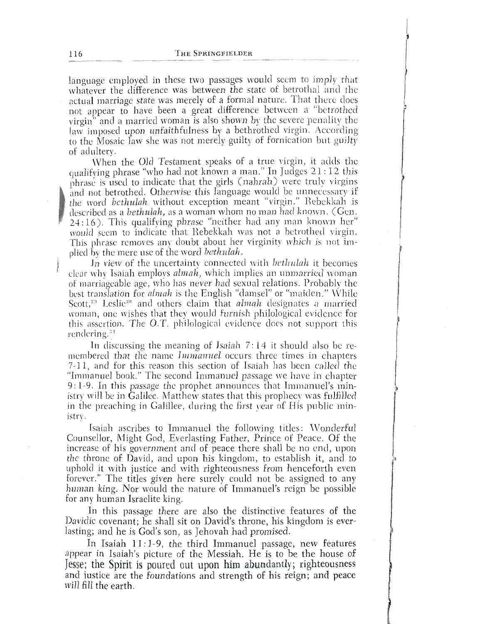language employed in these two passages would seem to imply that whatever the difference was between the state of betrothal and the actual marriage state was merely of a formal nature. That there does not appear to have been a great difference between a "betrothed virgin" and a married woman is also shown by the severe penality the law imposed upon unfaithfulness by a bethrothed virgin. According to the Mosaic law she was not merely guilty of fornication but guilty of adultery.

When the Old Testament speaks of a true virgin, it adds the qualifying phrase "who had not known a man." In Judges 21:12 this phrase is used to indicate that the girls (nahrah) were truly virgins and not betrothed. Otherwise this language would be unnecessary if the word bethulah without exception meant "virgin." Rebekkah is described as a *bethulah*, as a woman whom no man had known. (Gen. 24:16). This qualifying phrase "neither had any man known her" would seem to indicate that Rebekkah was not a betrothed virgin. This phrase removes any doubt about her virginity which is not implied by the mere use of the word bethulah.

In view of the uncertainty connected with *bethulah* it becomes clear why Isaiah employs almah, which implies an unmarried woman of marriageable age, who has never had sexual relations. Probably the best translation for *almah* is the English "damsel" or "maiden." While Scott,<sup>29</sup> Leslie<sup>30</sup> and others claim that *almah* designates a married woman, one wishes that they would furnish philological evidence for this assertion. The O.T. philological evidence does not support this rendering.<sup>31</sup>

In discussing the meaning of Isaiah  $7:14$  it should also be remembered that the name *Immanuel* occurs three times in chapters 7-11, and for this reason this section of Isaiah has been called the "Immanuel book." The second Immanuel passage we have in chapter 9:1-9. In this passage the prophet announces that Immanuel's ministry will be in Galilee. Matthew states that this prophecy was fulfilled in the preaching in Galillee, during the first year of His public ministry.

Isaiah ascribes to Immanuel the following titles: Wonderful Counsellor, Might God, Everlasting Father, Prince of Peace. Of the increase of his government and of peace there shall be no end, upon the throne of David, and upon his kingdom, to establish it, and to uphold it with justice and with righteousness from henceforth even forever." The titles given here surely could not be assigned to any human king. Nor would the nature of Immanuel's reign be possible for any human Israelite king.

In this passage there are also the distinctive features of the Davidic covenant; he shall sit on David's throne, his kingdom is everlasting; and he is God's son, as Jehovah had promised.

In Isaiah 11:1-9, the third Immanuel passage, new features appear in Isaiah's picture of the Messiah. He is to be the house of Jesse; the Spirit is poured out upon him abundantly; righteousness and justice are the foundations and strength of his reign; and peace will fill the earth.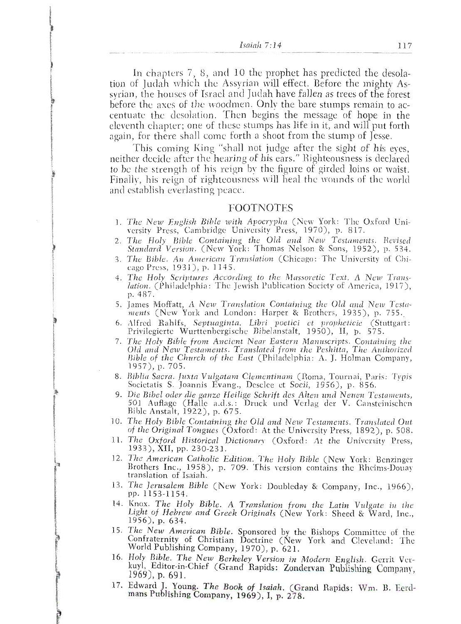Isaiah  $7:14$ 

In chapters 7, 8, and 10 the prophet has predicted the desolation of Judah which the Assyrian will effect. Before the mighty Assyrian, the houses of Israel and Judah have fallen as trees of the forest before the axes of the woodmen. Only the bare stumps remain to accentuate the desolation. Then begins the message of hope in the eleventh chapter; one of these stumps has life in it, and will put forth again, for there shall come forth a shoot from the stump of Jesse.

This coming King "shall not judge after the sight of his eves. neither decide after the hearing of his ears." Righteousness is declared to be the strength of his reign by the figure of girded loins or waist. Finally, his reign of righteousness will heal the wounds of the world and establish everlasting peace.

#### **FOOTNOTES**

- 1. The New English Bible with Apocrypha (New York: The Oxford University Press, Cambridge University Press, 1970), p. 817.
- 2. The Holy Bible Containing the Old and New Testaments. Revised Standard Version. (New York: Thomas Nelson & Sons, 1952), p. 534.
- 3. The Bible, An American Translation (Chicago: The University of Chicago Press, 1931), p. 1145.
- 4. The Holy Scriptures According to the Massoretic Text. A New Trans*lation.* (Philadelphia: The Jewish Publication Society of America, 1917), p. 487.
- 5. James Moffatt, A New Translation Containing the Old and New Testa-<br>ments (New York and London: Harper & Brothers, 1935), p. 755.
- Alfred Rahlfs, Septuaginta. Libri poetici et propheticie (Stuttgart: Privilegierte Wurttenbergische Bibelanstalt, 1950), II, p. 575. 6.
- 7. The Holy Bible from Ancient Near Eastern Manuscripts. Containing the Old and New Testaments. Translated from the Peshitta, The Authorized Bible of the Church of the East (Philadelphia: A. J. Holman Company, 1957), p. 705.
- 8. Biblia Sacra. Juxta Vulgatam Clementinam (Roma, Tournai, Paris: Typis Societatis S. Joannis Evang., Desclee et Socii, 1956), p. 856.
- 9. Die Bibel oder die ganze Heilige Schrift des Alten und Neuen Testaments, 501 Auflage (Halle a.d.s.: Druck und Verlag der V. Cansteinischen<br>Bible Anstalt, 1922), p. 675.
- 10. The Holy Bible Containing the Old and New Testaments. Translated Out of the Original Tongues (Oxford: At the University Press, 1892), p. 508.
- 11. The Oxford Historical Dictionary (Oxford: At the University Press, 1933), XII, pp. 230-231.
- 12. The American Catholic Edition. The Holy Bible (New York: Benzinger Brothers Inc., 1958), p. 709. This version contains the Rheims-Douay translation of Isaiah.
- 13. The Jerusalem Bible (New York: Doubleday & Company, Inc., 1966), pp. 1153-1154.
- 14. Knox. The Holy Bible. A Translation from the Latin Vulgate in the Light of Hebrew and Greek Originals (New York: Sheed & Ward, Inc., 1956), p. 634.
- 15. The New American Bible. Sponsored by the Bishops Committee of the Confraternity of Christian Doctrine (New York and Cleveland: The World Publishing Company, 1970), p. 621.
- 16. Holy Bible. The New Berkeley Version in Modern English. Gerrit Verkuyl, Editor-in-Chief (Grand Rapids: Zondervan Publishing Company,  $1969$ , p. 691.
- 17. Edward J. Young. The Book of Isaiah. (Grand Rapids: Wm. B. Eerdmans Publishing Company, 1969), I, p. 278.